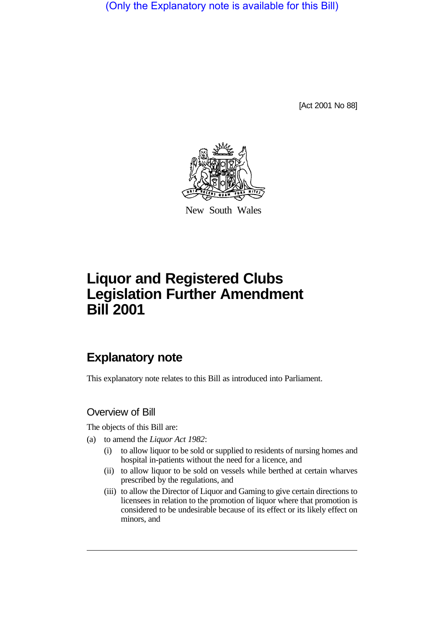(Only the Explanatory note is available for this Bill)

[Act 2001 No 88]



New South Wales

# **Liquor and Registered Clubs Legislation Further Amendment Bill 2001**

## **Explanatory note**

This explanatory note relates to this Bill as introduced into Parliament.

### Overview of Bill

The objects of this Bill are:

- (a) to amend the *Liquor Act 1982*:
	- (i) to allow liquor to be sold or supplied to residents of nursing homes and hospital in-patients without the need for a licence, and
	- (ii) to allow liquor to be sold on vessels while berthed at certain wharves prescribed by the regulations, and
	- (iii) to allow the Director of Liquor and Gaming to give certain directions to licensees in relation to the promotion of liquor where that promotion is considered to be undesirable because of its effect or its likely effect on minors, and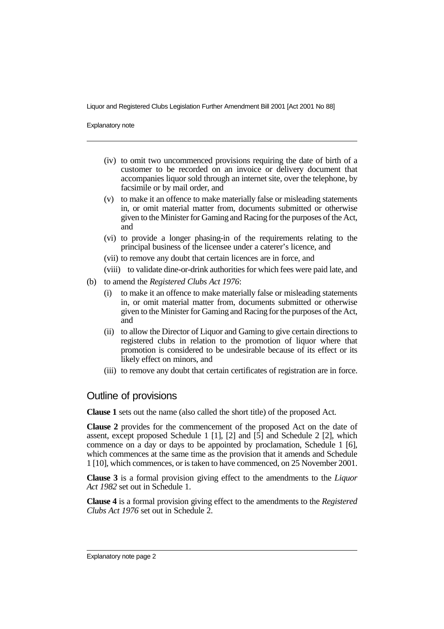Explanatory note

- (iv) to omit two uncommenced provisions requiring the date of birth of a customer to be recorded on an invoice or delivery document that accompanies liquor sold through an internet site, over the telephone, by facsimile or by mail order, and
- (v) to make it an offence to make materially false or misleading statements in, or omit material matter from, documents submitted or otherwise given to the Minister for Gaming and Racing for the purposes of the Act, and
- (vi) to provide a longer phasing-in of the requirements relating to the principal business of the licensee under a caterer's licence, and
- (vii) to remove any doubt that certain licences are in force, and
- (viii) to validate dine-or-drink authorities for which fees were paid late, and
- (b) to amend the *Registered Clubs Act 1976*:
	- (i) to make it an offence to make materially false or misleading statements in, or omit material matter from, documents submitted or otherwise given to the Minister for Gaming and Racing for the purposes of the Act, and
	- (ii) to allow the Director of Liquor and Gaming to give certain directions to registered clubs in relation to the promotion of liquor where that promotion is considered to be undesirable because of its effect or its likely effect on minors, and
	- (iii) to remove any doubt that certain certificates of registration are in force.

### Outline of provisions

**Clause 1** sets out the name (also called the short title) of the proposed Act.

**Clause 2** provides for the commencement of the proposed Act on the date of assent, except proposed Schedule 1 [1], [2] and [5] and Schedule 2 [2], which commence on a day or days to be appointed by proclamation, Schedule 1 [6], which commences at the same time as the provision that it amends and Schedule 1 [10], which commences, or is taken to have commenced, on 25 November 2001.

**Clause 3** is a formal provision giving effect to the amendments to the *Liquor Act 1982* set out in Schedule 1.

**Clause 4** is a formal provision giving effect to the amendments to the *Registered Clubs Act 1976* set out in Schedule 2.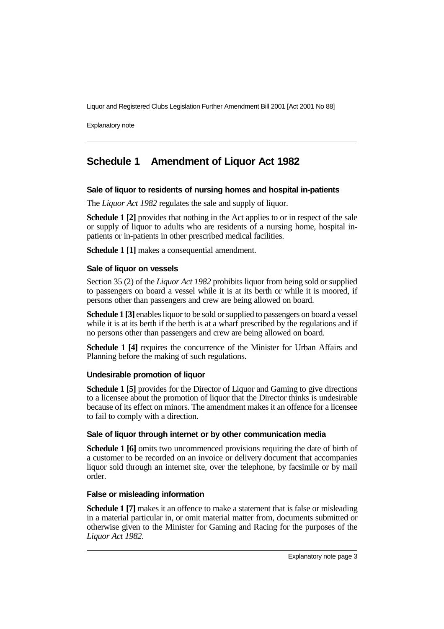Explanatory note

# **Schedule 1 Amendment of Liquor Act 1982**

#### **Sale of liquor to residents of nursing homes and hospital in-patients**

The *Liquor Act 1982* regulates the sale and supply of liquor.

**Schedule 1 [2]** provides that nothing in the Act applies to or in respect of the sale or supply of liquor to adults who are residents of a nursing home, hospital inpatients or in-patients in other prescribed medical facilities.

**Schedule 1 [1]** makes a consequential amendment.

#### **Sale of liquor on vessels**

Section 35 (2) of the *Liquor Act 1982* prohibits liquor from being sold or supplied to passengers on board a vessel while it is at its berth or while it is moored, if persons other than passengers and crew are being allowed on board.

**Schedule 1 [3]** enables liquor to be sold or supplied to passengers on board a vessel while it is at its berth if the berth is at a wharf prescribed by the regulations and if no persons other than passengers and crew are being allowed on board.

**Schedule 1 [4]** requires the concurrence of the Minister for Urban Affairs and Planning before the making of such regulations.

#### **Undesirable promotion of liquor**

**Schedule 1 [5]** provides for the Director of Liquor and Gaming to give directions to a licensee about the promotion of liquor that the Director thinks is undesirable because of its effect on minors. The amendment makes it an offence for a licensee to fail to comply with a direction.

#### **Sale of liquor through internet or by other communication media**

**Schedule 1 [6]** omits two uncommenced provisions requiring the date of birth of a customer to be recorded on an invoice or delivery document that accompanies liquor sold through an internet site, over the telephone, by facsimile or by mail order.

#### **False or misleading information**

**Schedule 1 [7]** makes it an offence to make a statement that is false or misleading in a material particular in, or omit material matter from, documents submitted or otherwise given to the Minister for Gaming and Racing for the purposes of the *Liquor Act 1982*.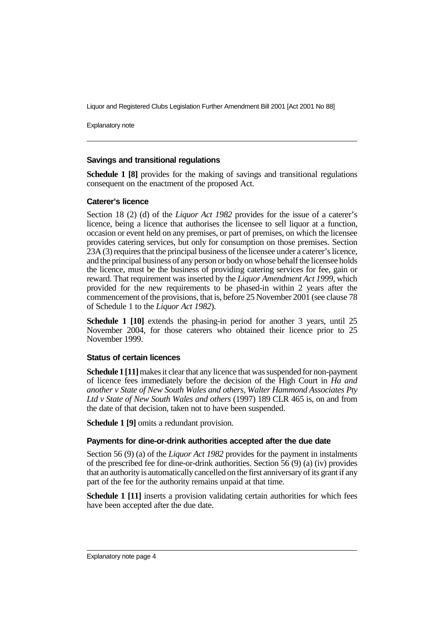Explanatory note

#### **Savings and transitional regulations**

**Schedule 1 [8]** provides for the making of savings and transitional regulations consequent on the enactment of the proposed Act.

#### **Caterer's licence**

Section 18 (2) (d) of the *Liquor Act 1982* provides for the issue of a caterer's licence, being a licence that authorises the licensee to sell liquor at a function, occasion or event held on any premises, or part of premises, on which the licensee provides catering services, but only for consumption on those premises. Section 23A (3) requires that the principal business of the licensee under a caterer's licence, and the principal business of any person or body on whose behalf the licensee holds the licence, must be the business of providing catering services for fee, gain or reward. That requirement was inserted by the *Liquor Amendment Act 1999*, which provided for the new requirements to be phased-in within 2 years after the commencement of the provisions, that is, before 25 November 2001 (see clause 78 of Schedule 1 to the *Liquor Act 1982*).

**Schedule 1 [10]** extends the phasing-in period for another 3 years, until 25 November 2004, for those caterers who obtained their licence prior to 25 November 1999.

#### **Status of certain licences**

**Schedule 1 [11]** makes it clear that any licence that was suspended for non-payment of licence fees immediately before the decision of the High Court in *Ha and another v State of New South Wales and others, Walter Hammond Associates Pty Ltd v State of New South Wales and others* (1997) 189 CLR 465 is, on and from the date of that decision, taken not to have been suspended.

**Schedule 1 [9]** omits a redundant provision.

#### **Payments for dine-or-drink authorities accepted after the due date**

Section 56 (9) (a) of the *Liquor Act 1982* provides for the payment in instalments of the prescribed fee for dine-or-drink authorities. Section 56 (9) (a) (iv) provides that an authority is automatically cancelled on the first anniversary of its grant if any part of the fee for the authority remains unpaid at that time.

**Schedule 1 [11]** inserts a provision validating certain authorities for which fees have been accepted after the due date.